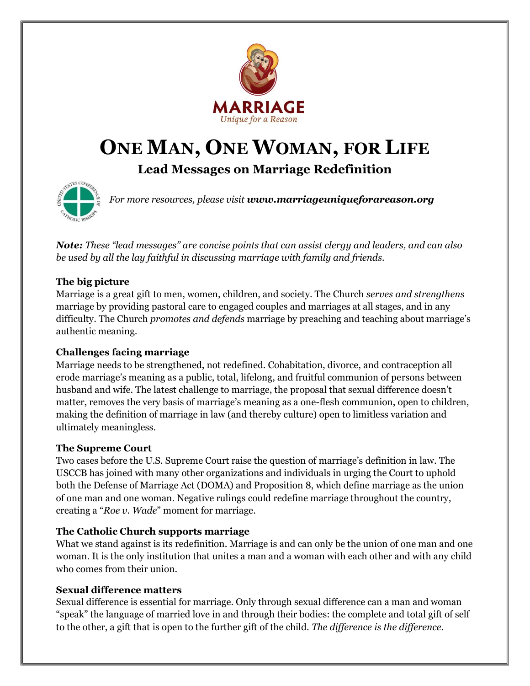

# **ONE MAN, ONE WOMAN, FOR LIFE**

**Lead Messages on Marriage Redefinition**



*For more resources, please visit www.marriageuniqueforareason.org*

*Note: These "lead messages" are concise points that can assist clergy and leaders, and can also be used by all the lay faithful in discussing marriage with family and friends.*

# **The big picture**

Marriage is a great gift to men, women, children, and society. The Church *serves and strengthens*  marriage by providing pastoral care to engaged couples and marriages at all stages, and in any difficulty. The Church *promotes and defends* marriage by preaching and teaching about marriage's authentic meaning.

# **Challenges facing marriage**

Marriage needs to be strengthened, not redefined. Cohabitation, divorce, and contraception all erode marriage's meaning as a public, total, lifelong, and fruitful communion of persons between husband and wife. The latest challenge to marriage, the proposal that sexual difference doesn't matter, removes the very basis of marriage's meaning as a one-flesh communion, open to children, making the definition of marriage in law (and thereby culture) open to limitless variation and ultimately meaningless.

# **The Supreme Court**

Two cases before the U.S. Supreme Court raise the question of marriage's definition in law. The USCCB has joined with many other organizations and individuals in urging the Court to uphold both the Defense of Marriage Act (DOMA) and Proposition 8, which define marriage as the union of one man and one woman. Negative rulings could redefine marriage throughout the country, creating a "*Roe v. Wade*" moment for marriage.

# **The Catholic Church supports marriage**

What we stand against is its redefinition. Marriage is and can only be the union of one man and one woman. It is the only institution that unites a man and a woman with each other and with any child who comes from their union.

# **Sexual difference matters**

Sexual difference is essential for marriage. Only through sexual difference can a man and woman "speak" the language of married love in and through their bodies: the complete and total gift of self to the other, a gift that is open to the further gift of the child. *The difference is the difference*.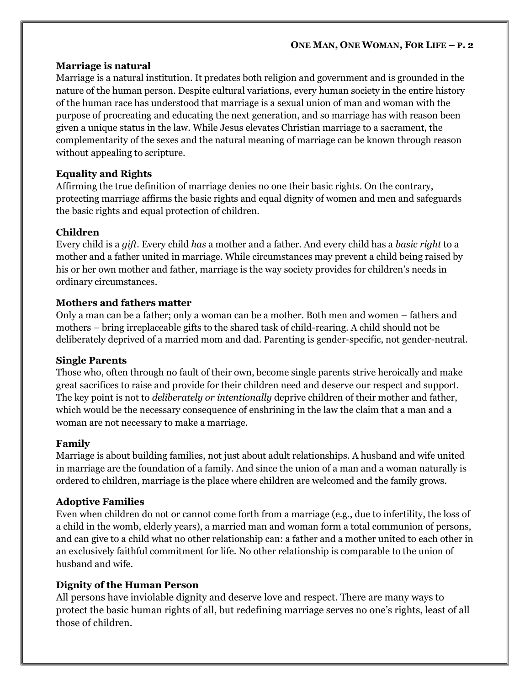#### **ONE MAN, ONE WOMAN, FOR LIFE – P. 2**

#### **Marriage is natural**

Marriage is a natural institution. It predates both religion and government and is grounded in the nature of the human person. Despite cultural variations, every human society in the entire history of the human race has understood that marriage is a sexual union of man and woman with the purpose of procreating and educating the next generation, and so marriage has with reason been given a unique status in the law. While Jesus elevates Christian marriage to a sacrament, the complementarity of the sexes and the natural meaning of marriage can be known through reason without appealing to scripture.

## **Equality and Rights**

Affirming the true definition of marriage denies no one their basic rights. On the contrary, protecting marriage affirms the basic rights and equal dignity of women and men and safeguards the basic rights and equal protection of children.

## **Children**

Every child is a *gift*. Every child *has* a mother and a father. And every child has a *basic right* to a mother and a father united in marriage. While circumstances may prevent a child being raised by his or her own mother and father, marriage is the way society provides for children's needs in ordinary circumstances.

## **Mothers and fathers matter**

Only a man can be a father; only a woman can be a mother. Both men and women – fathers and mothers – bring irreplaceable gifts to the shared task of child-rearing. A child should not be deliberately deprived of a married mom and dad. Parenting is gender-specific, not gender-neutral.

### **Single Parents**

Those who, often through no fault of their own, become single parents strive heroically and make great sacrifices to raise and provide for their children need and deserve our respect and support. The key point is not to *deliberately or intentionally* deprive children of their mother and father, which would be the necessary consequence of enshrining in the law the claim that a man and a woman are not necessary to make a marriage.

### **Family**

Marriage is about building families, not just about adult relationships. A husband and wife united in marriage are the foundation of a family. And since the union of a man and a woman naturally is ordered to children, marriage is the place where children are welcomed and the family grows.

# **Adoptive Families**

Even when children do not or cannot come forth from a marriage (e.g., due to infertility, the loss of a child in the womb, elderly years), a married man and woman form a total communion of persons, and can give to a child what no other relationship can: a father and a mother united to each other in an exclusively faithful commitment for life. No other relationship is comparable to the union of husband and wife.

# **Dignity of the Human Person**

All persons have inviolable dignity and deserve love and respect. There are many ways to protect the basic human rights of all, but redefining marriage serves no one's rights, least of all those of children.